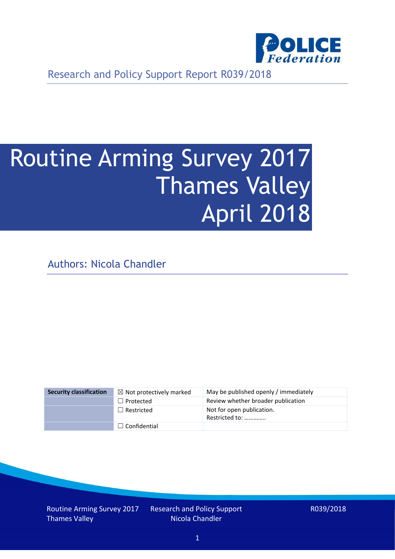

Research and Policy Support Report R039/2018

# Routine Arming Survey 2017 Thames Valley April 2018

Authors: Nicola Chandler

| <b>Security classification</b> | $\boxtimes$ Not protectively marked | May be published openly / immediately       |
|--------------------------------|-------------------------------------|---------------------------------------------|
|                                | $\Box$ Protected                    | Review whether broader publication          |
|                                | $\Box$ Restricted                   | Not for open publication.<br>Restricted to: |
|                                | $\Box$ Confidential                 |                                             |

Routine Arming Survey 2017 Thames Valley

Research and Policy Support Nicola Chandler

R039/2018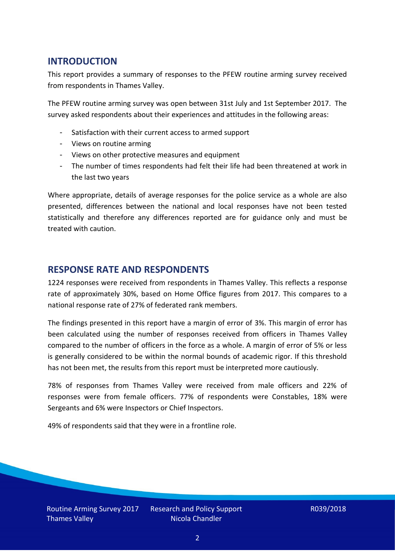## **INTRODUCTION**

This report provides a summary of responses to the PFEW routine arming survey received from respondents in Thames Valley.

The PFEW routine arming survey was open between 31st July and 1st September 2017. The survey asked respondents about their experiences and attitudes in the following areas:

- Satisfaction with their current access to armed support
- Views on routine arming
- Views on other protective measures and equipment
- The number of times respondents had felt their life had been threatened at work in the last two years

Where appropriate, details of average responses for the police service as a whole are also presented, differences between the national and local responses have not been tested statistically and therefore any differences reported are for guidance only and must be treated with caution.

### **RESPONSE RATE AND RESPONDENTS**

1224 responses were received from respondents in Thames Valley. This reflects a response rate of approximately 30%, based on Home Office figures from 2017. This compares to a national response rate of 27% of federated rank members.

The findings presented in this report have a margin of error of 3%. This margin of error has been calculated using the number of responses received from officers in Thames Valley compared to the number of officers in the force as a whole. A margin of error of 5% or less is generally considered to be within the normal bounds of academic rigor. If this threshold has not been met, the results from this report must be interpreted more cautiously.

78% of responses from Thames Valley were received from male officers and 22% of responses were from female officers. 77% of respondents were Constables, 18% were Sergeants and 6% were Inspectors or Chief Inspectors.

49% of respondents said that they were in a frontline role.

Routine Arming Survey 2017 Thames Valley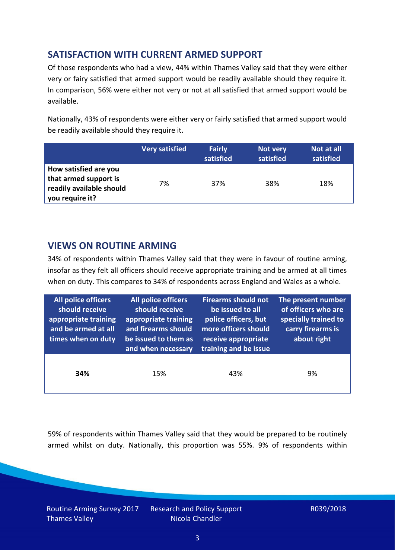## **SATISFACTION WITH CURRENT ARMED SUPPORT**

Of those respondents who had a view, 44% within Thames Valley said that they were either very or fairy satisfied that armed support would be readily available should they require it. In comparison, 56% were either not very or not at all satisfied that armed support would be available.

Nationally, 43% of respondents were either very or fairly satisfied that armed support would be readily available should they require it.

|                                                                                               | <b>Very satisfied</b> | <b>Fairly</b><br>satisfied | Not very<br>satisfied | Not at all<br>satisfied |
|-----------------------------------------------------------------------------------------------|-----------------------|----------------------------|-----------------------|-------------------------|
| How satisfied are you<br>that armed support is<br>readily available should<br>you require it? | 7%                    | 37%                        | 38%                   | 18%                     |

## **VIEWS ON ROUTINE ARMING**

34% of respondents within Thames Valley said that they were in favour of routine arming, insofar as they felt all officers should receive appropriate training and be armed at all times when on duty. This compares to 34% of respondents across England and Wales as a whole.

| <b>All police officers</b><br>should receive<br>appropriate training<br>and be armed at all<br>times when on duty | All police officers<br>should receive<br>appropriate training<br>and firearms should<br>be issued to them as<br>and when necessary | <b>Firearms should not</b><br>be issued to all<br>police officers, but<br>more officers should<br>receive appropriate<br>training and be issue | The present number<br>of officers who are<br>specially trained to<br>carry firearms is<br>about right |  |
|-------------------------------------------------------------------------------------------------------------------|------------------------------------------------------------------------------------------------------------------------------------|------------------------------------------------------------------------------------------------------------------------------------------------|-------------------------------------------------------------------------------------------------------|--|
| 34%                                                                                                               | 15%                                                                                                                                | 43%                                                                                                                                            | 9%                                                                                                    |  |

59% of respondents within Thames Valley said that they would be prepared to be routinely armed whilst on duty. Nationally, this proportion was 55%. 9% of respondents within

Routine Arming Survey 2017 Thames Valley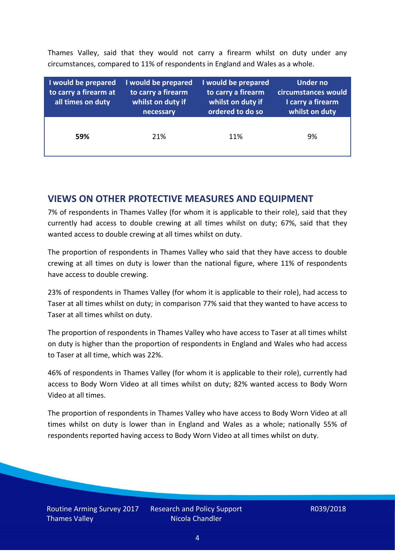Thames Valley, said that they would not carry a firearm whilst on duty under any circumstances, compared to 11% of respondents in England and Wales as a whole.

| I would be prepared<br>to carry a firearm at<br>all times on duty | I would be prepared<br>to carry a firearm<br>whilst on duty if<br>necessary | I would be prepared<br>to carry a firearm<br>whilst on duty if<br>ordered to do so | Under no<br>circumstances would<br>I carry a firearm<br>whilst on duty |
|-------------------------------------------------------------------|-----------------------------------------------------------------------------|------------------------------------------------------------------------------------|------------------------------------------------------------------------|
| 59%                                                               | 21%                                                                         | 11%                                                                                | 9%                                                                     |

#### **VIEWS ON OTHER PROTECTIVE MEASURES AND EQUIPMENT**

7% of respondents in Thames Valley (for whom it is applicable to their role), said that they currently had access to double crewing at all times whilst on duty; 67%, said that they wanted access to double crewing at all times whilst on duty.

The proportion of respondents in Thames Valley who said that they have access to double crewing at all times on duty is lower than the national figure, where 11% of respondents have access to double crewing.

23% of respondents in Thames Valley (for whom it is applicable to their role), had access to Taser at all times whilst on duty; in comparison 77% said that they wanted to have access to Taser at all times whilst on duty.

The proportion of respondents in Thames Valley who have access to Taser at all times whilst on duty is higher than the proportion of respondents in England and Wales who had access to Taser at all time, which was 22%.

46% of respondents in Thames Valley (for whom it is applicable to their role), currently had access to Body Worn Video at all times whilst on duty; 82% wanted access to Body Worn Video at all times.

The proportion of respondents in Thames Valley who have access to Body Worn Video at all times whilst on duty is lower than in England and Wales as a whole; nationally 55% of respondents reported having access to Body Worn Video at all times whilst on duty.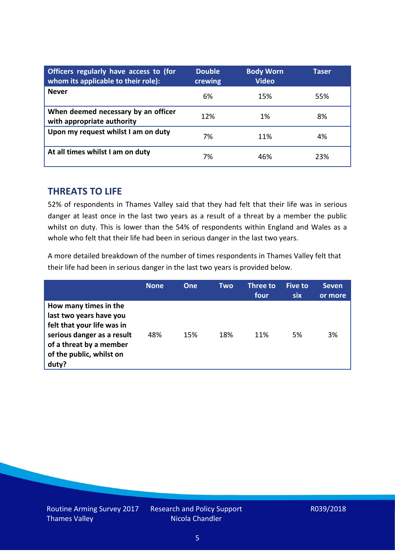| Officers regularly have access to (for<br>whom its applicable to their role): | <b>Double</b><br>crewing | <b>Body Worn</b><br><b>Video</b> | Taser |
|-------------------------------------------------------------------------------|--------------------------|----------------------------------|-------|
| <b>Never</b>                                                                  | 6%                       | 15%                              | 55%   |
| When deemed necessary by an officer<br>with appropriate authority             | 12%                      | 1%                               | 8%    |
| Upon my request whilst I am on duty                                           | 7%                       | 11%                              | 4%    |
| At all times whilst I am on duty                                              | 7%                       | 46%                              | 23%   |

#### **THREATS TO LIFE**

52% of respondents in Thames Valley said that they had felt that their life was in serious danger at least once in the last two years as a result of a threat by a member the public whilst on duty. This is lower than the 54% of respondents within England and Wales as a whole who felt that their life had been in serious danger in the last two years.

A more detailed breakdown of the number of times respondents in Thames Valley felt that their life had been in serious danger in the last two years is provided below.

|                                                                                                                                                                              | <b>None</b> | One | Two | Three to<br>four | Five to<br><b>six</b> | <b>Seven</b><br>or more |
|------------------------------------------------------------------------------------------------------------------------------------------------------------------------------|-------------|-----|-----|------------------|-----------------------|-------------------------|
| How many times in the<br>last two years have you<br>felt that your life was in<br>serious danger as a result<br>of a threat by a member<br>of the public, whilst on<br>duty? | 48%         | 15% | 18% | 11%              | 5%                    | 3%                      |

Routine Arming Survey 2017 Thames Valley